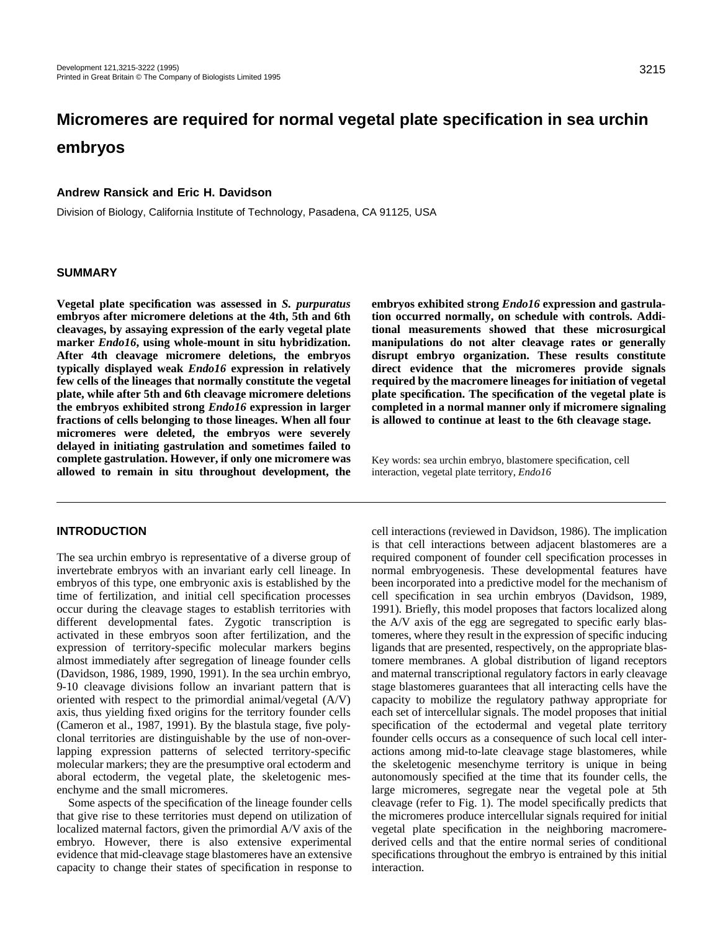# **Micromeres are required for normal vegetal plate specification in sea urchin embryos**

## **Andrew Ransick and Eric H. Davidson**

Division of Biology, California Institute of Technology, Pasadena, CA 91125, USA

#### **SUMMARY**

**Vegetal plate specification was assessed in** *S. purpuratus* **embryos after micromere deletions at the 4th, 5th and 6th cleavages, by assaying expression of the early vegetal plate marker** *Endo16***, using whole-mount in situ hybridization. After 4th cleavage micromere deletions, the embryos typically displayed weak** *Endo16* **expression in relatively few cells of the lineages that normally constitute the vegetal plate, while after 5th and 6th cleavage micromere deletions the embryos exhibited strong** *Endo16* **expression in larger fractions of cells belonging to those lineages. When all four micromeres were deleted, the embryos were severely delayed in initiating gastrulation and sometimes failed to complete gastrulation. However, if only one micromere was allowed to remain in situ throughout development, the**

# **INTRODUCTION**

The sea urchin embryo is representative of a diverse group of invertebrate embryos with an invariant early cell lineage. In embryos of this type, one embryonic axis is established by the time of fertilization, and initial cell specification processes occur during the cleavage stages to establish territories with different developmental fates. Zygotic transcription is activated in these embryos soon after fertilization, and the expression of territory-specific molecular markers begins almost immediately after segregation of lineage founder cells (Davidson, 1986, 1989, 1990, 1991). In the sea urchin embryo, 9-10 cleavage divisions follow an invariant pattern that is oriented with respect to the primordial animal/vegetal (A/V) axis, thus yielding fixed origins for the territory founder cells (Cameron et al., 1987, 1991). By the blastula stage, five polyclonal territories are distinguishable by the use of non-overlapping expression patterns of selected territory-specific molecular markers; they are the presumptive oral ectoderm and aboral ectoderm, the vegetal plate, the skeletogenic mesenchyme and the small micromeres.

Some aspects of the specification of the lineage founder cells that give rise to these territories must depend on utilization of localized maternal factors, given the primordial A/V axis of the embryo. However, there is also extensive experimental evidence that mid-cleavage stage blastomeres have an extensive capacity to change their states of specification in response to

**embryos exhibited strong** *Endo16* **expression and gastrulation occurred normally, on schedule with controls. Additional measurements showed that these microsurgical manipulations do not alter cleavage rates or generally disrupt embryo organization. These results constitute direct evidence that the micromeres provide signals required by the macromere lineages for initiation of vegetal plate specification. The specification of the vegetal plate is completed in a normal manner only if micromere signaling is allowed to continue at least to the 6th cleavage stage.**

Key words: sea urchin embryo, blastomere specification, cell interaction, vegetal plate territory, *Endo16*

cell interactions (reviewed in Davidson, 1986). The implication is that cell interactions between adjacent blastomeres are a required component of founder cell specification processes in normal embryogenesis. These developmental features have been incorporated into a predictive model for the mechanism of cell specification in sea urchin embryos (Davidson, 1989, 1991). Briefly, this model proposes that factors localized along the A/V axis of the egg are segregated to specific early blastomeres, where they result in the expression of specific inducing ligands that are presented, respectively, on the appropriate blastomere membranes. A global distribution of ligand receptors and maternal transcriptional regulatory factors in early cleavage stage blastomeres guarantees that all interacting cells have the capacity to mobilize the regulatory pathway appropriate for each set of intercellular signals. The model proposes that initial specification of the ectodermal and vegetal plate territory founder cells occurs as a consequence of such local cell interactions among mid-to-late cleavage stage blastomeres, while the skeletogenic mesenchyme territory is unique in being autonomously specified at the time that its founder cells, the large micromeres, segregate near the vegetal pole at 5th cleavage (refer to Fig. 1). The model specifically predicts that the micromeres produce intercellular signals required for initial vegetal plate specification in the neighboring macromerederived cells and that the entire normal series of conditional specifications throughout the embryo is entrained by this initial interaction.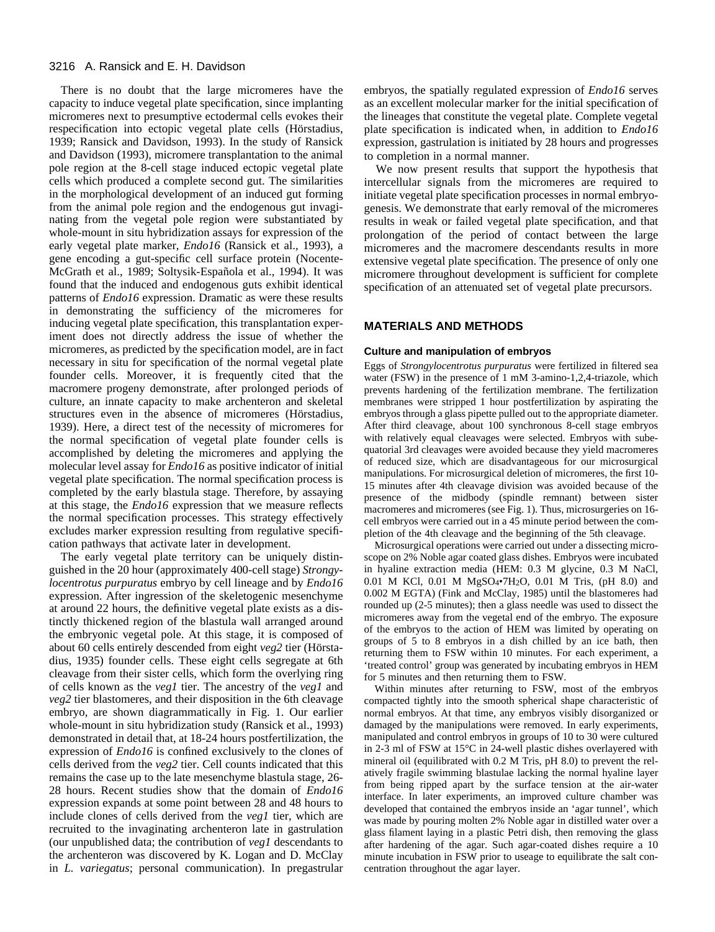There is no doubt that the large micromeres have the capacity to induce vegetal plate specification, since implanting micromeres next to presumptive ectodermal cells evokes their respecification into ectopic vegetal plate cells (Hörstadius, 1939; Ransick and Davidson, 1993). In the study of Ransick and Davidson (1993), micromere transplantation to the animal pole region at the 8-cell stage induced ectopic vegetal plate cells which produced a complete second gut. The similarities in the morphological development of an induced gut forming from the animal pole region and the endogenous gut invaginating from the vegetal pole region were substantiated by whole-mount in situ hybridization assays for expression of the early vegetal plate marker, *Endo16* (Ransick et al., 1993), a gene encoding a gut-specific cell surface protein (Nocente-McGrath et al., 1989; Soltysik-Española et al., 1994). It was found that the induced and endogenous guts exhibit identical patterns of *Endo16* expression. Dramatic as were these results in demonstrating the sufficiency of the micromeres for inducing vegetal plate specification, this transplantation experiment does not directly address the issue of whether the micromeres, as predicted by the specification model, are in fact necessary in situ for specification of the normal vegetal plate founder cells. Moreover, it is frequently cited that the macromere progeny demonstrate, after prolonged periods of culture, an innate capacity to make archenteron and skeletal structures even in the absence of micromeres (Hörstadius, 1939). Here, a direct test of the necessity of micromeres for the normal specification of vegetal plate founder cells is accomplished by deleting the micromeres and applying the molecular level assay for *Endo16* as positive indicator of initial vegetal plate specification. The normal specification process is completed by the early blastula stage. Therefore, by assaying at this stage, the *Endo16* expression that we measure reflects the normal specification processes. This strategy effectively excludes marker expression resulting from regulative specification pathways that activate later in development.

The early vegetal plate territory can be uniquely distinguished in the 20 hour (approximately 400-cell stage) *Strongylocentrotus purpuratus* embryo by cell lineage and by *Endo16* expression. After ingression of the skeletogenic mesenchyme at around 22 hours, the definitive vegetal plate exists as a distinctly thickened region of the blastula wall arranged around the embryonic vegetal pole. At this stage, it is composed of about 60 cells entirely descended from eight *veg2* tier (Hörstadius, 1935) founder cells. These eight cells segregate at 6th cleavage from their sister cells, which form the overlying ring of cells known as the *veg1* tier. The ancestry of the *veg1* and *veg2* tier blastomeres, and their disposition in the 6th cleavage embryo, are shown diagrammatically in Fig. 1. Our earlier whole-mount in situ hybridization study (Ransick et al., 1993) demonstrated in detail that, at 18-24 hours postfertilization, the expression of *Endo16* is confined exclusively to the clones of cells derived from the *veg2* tier. Cell counts indicated that this remains the case up to the late mesenchyme blastula stage, 26- 28 hours. Recent studies show that the domain of *Endo16* expression expands at some point between 28 and 48 hours to include clones of cells derived from the *veg1* tier, which are recruited to the invaginating archenteron late in gastrulation (our unpublished data; the contribution of *veg1* descendants to the archenteron was discovered by K. Logan and D. McClay in *L. variegatus*; personal communication). In pregastrular

embryos, the spatially regulated expression of *Endo16* serves as an excellent molecular marker for the initial specification of the lineages that constitute the vegetal plate. Complete vegetal plate specification is indicated when, in addition to *Endo16* expression, gastrulation is initiated by 28 hours and progresses to completion in a normal manner.

We now present results that support the hypothesis that intercellular signals from the micromeres are required to initiate vegetal plate specification processes in normal embryogenesis. We demonstrate that early removal of the micromeres results in weak or failed vegetal plate specification, and that prolongation of the period of contact between the large micromeres and the macromere descendants results in more extensive vegetal plate specification. The presence of only one micromere throughout development is sufficient for complete specification of an attenuated set of vegetal plate precursors.

#### **MATERIALS AND METHODS**

#### **Culture and manipulation of embryos**

Eggs of *Strongylocentrotus purpuratus* were fertilized in filtered sea water (FSW) in the presence of 1 mM 3-amino-1,2,4-triazole, which prevents hardening of the fertilization membrane. The fertilization membranes were stripped 1 hour postfertilization by aspirating the embryos through a glass pipette pulled out to the appropriate diameter. After third cleavage, about 100 synchronous 8-cell stage embryos with relatively equal cleavages were selected. Embryos with subequatorial 3rd cleavages were avoided because they yield macromeres of reduced size, which are disadvantageous for our microsurgical manipulations. For microsurgical deletion of micromeres, the first 10- 15 minutes after 4th cleavage division was avoided because of the presence of the midbody (spindle remnant) between sister macromeres and micromeres (see Fig. 1). Thus, microsurgeries on 16 cell embryos were carried out in a 45 minute period between the completion of the 4th cleavage and the beginning of the 5th cleavage.

Microsurgical operations were carried out under a dissecting microscope on 2% Noble agar coated glass dishes. Embryos were incubated in hyaline extraction media (HEM: 0.3 M glycine, 0.3 M NaCl, 0.01 M KCl, 0.01 M  $MgSO_4$ •7H<sub>2</sub>O, 0.01 M Tris, (pH 8.0) and 0.002 M EGTA) (Fink and McClay, 1985) until the blastomeres had rounded up (2-5 minutes); then a glass needle was used to dissect the micromeres away from the vegetal end of the embryo. The exposure of the embryos to the action of HEM was limited by operating on groups of 5 to 8 embryos in a dish chilled by an ice bath, then returning them to FSW within 10 minutes. For each experiment, a 'treated control' group was generated by incubating embryos in HEM for 5 minutes and then returning them to FSW.

Within minutes after returning to FSW, most of the embryos compacted tightly into the smooth spherical shape characteristic of normal embryos. At that time, any embryos visibly disorganized or damaged by the manipulations were removed. In early experiments, manipulated and control embryos in groups of 10 to 30 were cultured in 2-3 ml of FSW at 15°C in 24-well plastic dishes overlayered with mineral oil (equilibrated with 0.2 M Tris, pH 8.0) to prevent the relatively fragile swimming blastulae lacking the normal hyaline layer from being ripped apart by the surface tension at the air-water interface. In later experiments, an improved culture chamber was developed that contained the embryos inside an 'agar tunnel', which was made by pouring molten 2% Noble agar in distilled water over a glass filament laying in a plastic Petri dish, then removing the glass after hardening of the agar. Such agar-coated dishes require a 10 minute incubation in FSW prior to useage to equilibrate the salt concentration throughout the agar layer.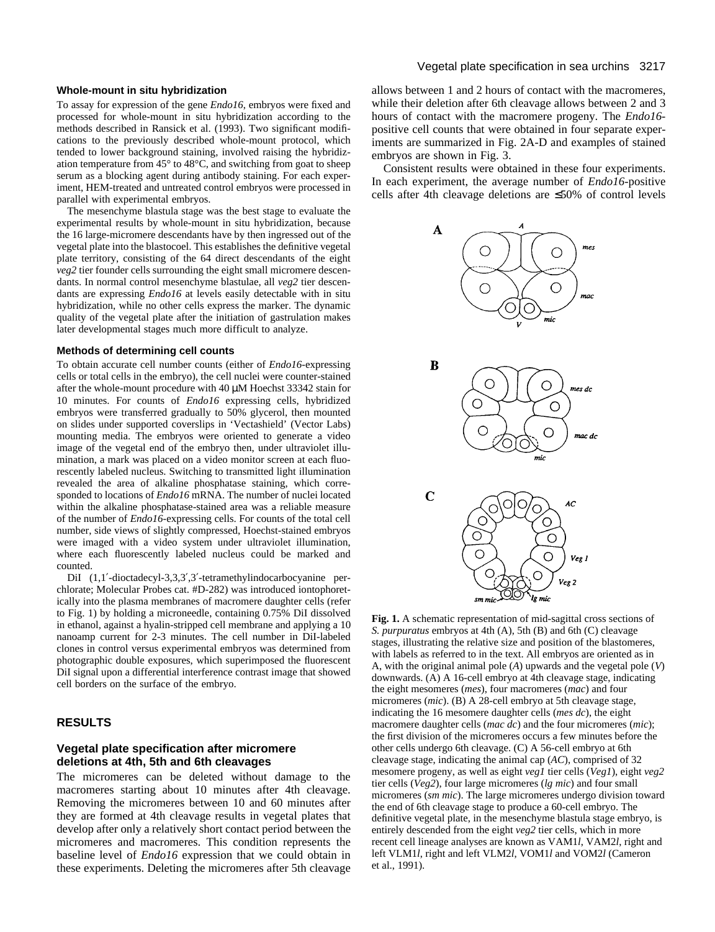### **Whole-mount in situ hybridization**

To assay for expression of the gene *Endo16*, embryos were fixed and processed for whole-mount in situ hybridization according to the methods described in Ransick et al. (1993). Two significant modifications to the previously described whole-mount protocol, which tended to lower background staining, involved raising the hybridization temperature from  $45^{\circ}$  to  $48^{\circ}$ C, and switching from goat to sheep serum as a blocking agent during antibody staining. For each experiment, HEM-treated and untreated control embryos were processed in parallel with experimental embryos.

The mesenchyme blastula stage was the best stage to evaluate the experimental results by whole-mount in situ hybridization, because the 16 large-micromere descendants have by then ingressed out of the vegetal plate into the blastocoel. This establishes the definitive vegetal plate territory, consisting of the 64 direct descendants of the eight *veg2* tier founder cells surrounding the eight small micromere descendants. In normal control mesenchyme blastulae, all *veg2* tier descendants are expressing *Endo16* at levels easily detectable with in situ hybridization, while no other cells express the marker. The dynamic quality of the vegetal plate after the initiation of gastrulation makes later developmental stages much more difficult to analyze.

#### **Methods of determining cell counts**

To obtain accurate cell number counts (either of *Endo16*-expressing cells or total cells in the embryo), the cell nuclei were counter-stained after the whole-mount procedure with 40 µM Hoechst 33342 stain for 10 minutes. For counts of *Endo16* expressing cells, hybridized embryos were transferred gradually to 50% glycerol, then mounted on slides under supported coverslips in 'Vectashield' (Vector Labs) mounting media. The embryos were oriented to generate a video image of the vegetal end of the embryo then, under ultraviolet illumination, a mark was placed on a video monitor screen at each fluorescently labeled nucleus. Switching to transmitted light illumination revealed the area of alkaline phosphatase staining, which corresponded to locations of *Endo16* mRNA. The number of nuclei located within the alkaline phosphatase-stained area was a reliable measure of the number of *Endo16*-expressing cells. For counts of the total cell number, side views of slightly compressed, Hoechst-stained embryos were imaged with a video system under ultraviolet illumination, where each fluorescently labeled nucleus could be marked and counted.

DiI (1,1'-dioctadecyl-3,3,3',3'-tetramethylindocarbocyanine perchlorate; Molecular Probes cat. #D-282) was introduced iontophoretically into the plasma membranes of macromere daughter cells (refer to Fig. 1) by holding a microneedle, containing 0.75% DiI dissolved in ethanol, against a hyalin-stripped cell membrane and applying a 10 nanoamp current for 2-3 minutes. The cell number in DiI-labeled clones in control versus experimental embryos was determined from photographic double exposures, which superimposed the fluorescent DiI signal upon a differential interference contrast image that showed cell borders on the surface of the embryo.

# **RESULTS**

## **Vegetal plate specification after micromere deletions at 4th, 5th and 6th cleavages**

The micromeres can be deleted without damage to the macromeres starting about 10 minutes after 4th cleavage. Removing the micromeres between 10 and 60 minutes after they are formed at 4th cleavage results in vegetal plates that develop after only a relatively short contact period between the micromeres and macromeres. This condition represents the baseline level of *Endo16* expression that we could obtain in these experiments. Deleting the micromeres after 5th cleavage

allows between 1 and 2 hours of contact with the macromeres, while their deletion after 6th cleavage allows between 2 and 3 hours of contact with the macromere progeny. The *Endo16* positive cell counts that were obtained in four separate experiments are summarized in Fig. 2A-D and examples of stained embryos are shown in Fig. 3.

Consistent results were obtained in these four experiments. In each experiment, the average number of *Endo16*-positive cells after 4th cleavage deletions are ≤50% of control levels



**Fig. 1.** A schematic representation of mid-sagittal cross sections of *S. purpuratus* embryos at 4th (A), 5th (B) and 6th (C) cleavage stages, illustrating the relative size and position of the blastomeres, with labels as referred to in the text. All embryos are oriented as in A, with the original animal pole (*A*) upwards and the vegetal pole (*V*) downwards. (A) A 16-cell embryo at 4th cleavage stage, indicating the eight mesomeres (*mes*), four macromeres (*mac*) and four micromeres (*mic*). (B) A 28-cell embryo at 5th cleavage stage, indicating the 16 mesomere daughter cells (*mes dc*), the eight macromere daughter cells (*mac dc*) and the four micromeres (*mic*); the first division of the micromeres occurs a few minutes before the other cells undergo 6th cleavage. (C) A 56-cell embryo at 6th cleavage stage, indicating the animal cap (*AC*), comprised of 32 mesomere progeny, as well as eight *veg1* tier cells (*Veg1*), eight *veg2* tier cells (*Veg2*), four large micromeres (*lg mic*) and four small micromeres (*sm mic*). The large micromeres undergo division toward the end of 6th cleavage stage to produce a 60-cell embryo. The definitive vegetal plate, in the mesenchyme blastula stage embryo, is entirely descended from the eight *veg2* tier cells, which in more recent cell lineage analyses are known as VAM1*l*, VAM2*l*, right and left VLM1*l*, right and left VLM2*l*, VOM1*l* and VOM2*l* (Cameron et al., 1991).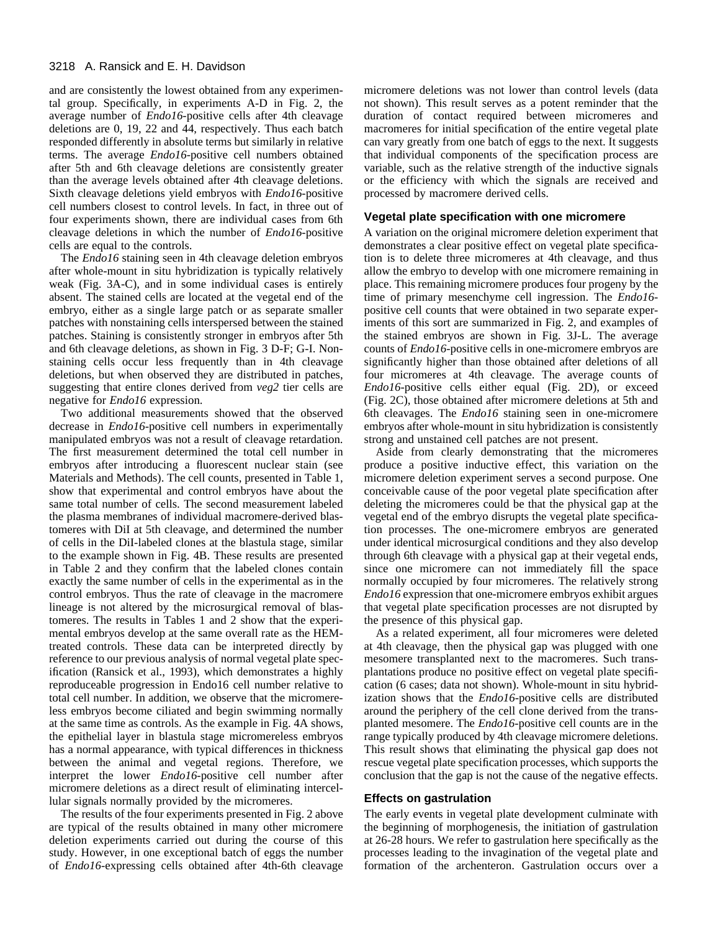and are consistently the lowest obtained from any experimental group. Specifically, in experiments A-D in Fig. 2, the average number of *Endo16*-positive cells after 4th cleavage deletions are 0, 19, 22 and 44, respectively. Thus each batch responded differently in absolute terms but similarly in relative terms. The average *Endo16*-positive cell numbers obtained after 5th and 6th cleavage deletions are consistently greater than the average levels obtained after 4th cleavage deletions. Sixth cleavage deletions yield embryos with *Endo16*-positive cell numbers closest to control levels. In fact, in three out of four experiments shown, there are individual cases from 6th cleavage deletions in which the number of *Endo16*-positive cells are equal to the controls.

The *Endo16* staining seen in 4th cleavage deletion embryos after whole-mount in situ hybridization is typically relatively weak (Fig. 3A-C), and in some individual cases is entirely absent. The stained cells are located at the vegetal end of the embryo, either as a single large patch or as separate smaller patches with nonstaining cells interspersed between the stained patches. Staining is consistently stronger in embryos after 5th and 6th cleavage deletions, as shown in Fig. 3 D-F; G-I. Nonstaining cells occur less frequently than in 4th cleavage deletions, but when observed they are distributed in patches, suggesting that entire clones derived from *veg2* tier cells are negative for *Endo16* expression.

Two additional measurements showed that the observed decrease in *Endo16*-positive cell numbers in experimentally manipulated embryos was not a result of cleavage retardation. The first measurement determined the total cell number in embryos after introducing a fluorescent nuclear stain (see Materials and Methods). The cell counts, presented in Table 1, show that experimental and control embryos have about the same total number of cells. The second measurement labeled the plasma membranes of individual macromere-derived blastomeres with DiI at 5th cleavage, and determined the number of cells in the DiI-labeled clones at the blastula stage, similar to the example shown in Fig. 4B. These results are presented in Table 2 and they confirm that the labeled clones contain exactly the same number of cells in the experimental as in the control embryos. Thus the rate of cleavage in the macromere lineage is not altered by the microsurgical removal of blastomeres. The results in Tables 1 and 2 show that the experimental embryos develop at the same overall rate as the HEMtreated controls. These data can be interpreted directly by reference to our previous analysis of normal vegetal plate specification (Ransick et al., 1993), which demonstrates a highly reproduceable progression in Endo16 cell number relative to total cell number. In addition, we observe that the micromereless embryos become ciliated and begin swimming normally at the same time as controls. As the example in Fig. 4A shows, the epithelial layer in blastula stage micromereless embryos has a normal appearance, with typical differences in thickness between the animal and vegetal regions. Therefore, we interpret the lower *Endo16*-positive cell number after micromere deletions as a direct result of eliminating intercellular signals normally provided by the micromeres.

The results of the four experiments presented in Fig. 2 above are typical of the results obtained in many other micromere deletion experiments carried out during the course of this study. However, in one exceptional batch of eggs the number of *Endo16*-expressing cells obtained after 4th-6th cleavage micromere deletions was not lower than control levels (data not shown). This result serves as a potent reminder that the duration of contact required between micromeres and macromeres for initial specification of the entire vegetal plate can vary greatly from one batch of eggs to the next. It suggests that individual components of the specification process are variable, such as the relative strength of the inductive signals or the efficiency with which the signals are received and processed by macromere derived cells.

#### **Vegetal plate specification with one micromere**

A variation on the original micromere deletion experiment that demonstrates a clear positive effect on vegetal plate specification is to delete three micromeres at 4th cleavage, and thus allow the embryo to develop with one micromere remaining in place. This remaining micromere produces four progeny by the time of primary mesenchyme cell ingression. The *Endo16* positive cell counts that were obtained in two separate experiments of this sort are summarized in Fig. 2, and examples of the stained embryos are shown in Fig. 3J-L. The average counts of *Endo16*-positive cells in one-micromere embryos are significantly higher than those obtained after deletions of all four micromeres at 4th cleavage. The average counts of *Endo16*-positive cells either equal (Fig. 2D), or exceed (Fig. 2C), those obtained after micromere deletions at 5th and 6th cleavages. The *Endo16* staining seen in one-micromere embryos after whole-mount in situ hybridization is consistently strong and unstained cell patches are not present.

Aside from clearly demonstrating that the micromeres produce a positive inductive effect, this variation on the micromere deletion experiment serves a second purpose. One conceivable cause of the poor vegetal plate specification after deleting the micromeres could be that the physical gap at the vegetal end of the embryo disrupts the vegetal plate specification processes. The one-micromere embryos are generated under identical microsurgical conditions and they also develop through 6th cleavage with a physical gap at their vegetal ends, since one micromere can not immediately fill the space normally occupied by four micromeres. The relatively strong *Endo16* expression that one-micromere embryos exhibit argues that vegetal plate specification processes are not disrupted by the presence of this physical gap.

As a related experiment, all four micromeres were deleted at 4th cleavage, then the physical gap was plugged with one mesomere transplanted next to the macromeres. Such transplantations produce no positive effect on vegetal plate specification (6 cases; data not shown). Whole-mount in situ hybridization shows that the *Endo16*-positive cells are distributed around the periphery of the cell clone derived from the transplanted mesomere. The *Endo16*-positive cell counts are in the range typically produced by 4th cleavage micromere deletions. This result shows that eliminating the physical gap does not rescue vegetal plate specification processes, which supports the conclusion that the gap is not the cause of the negative effects.

#### **Effects on gastrulation**

The early events in vegetal plate development culminate with the beginning of morphogenesis, the initiation of gastrulation at 26-28 hours. We refer to gastrulation here specifically as the processes leading to the invagination of the vegetal plate and formation of the archenteron. Gastrulation occurs over a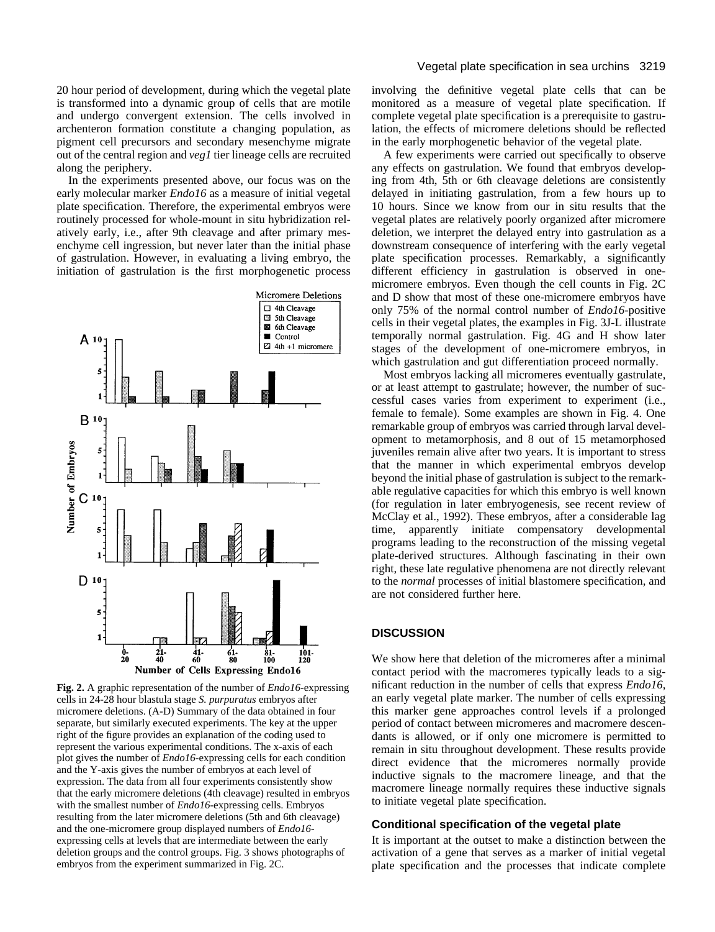20 hour period of development, during which the vegetal plate is transformed into a dynamic group of cells that are motile and undergo convergent extension. The cells involved in archenteron formation constitute a changing population, as pigment cell precursors and secondary mesenchyme migrate out of the central region and *veg1* tier lineage cells are recruited along the periphery.

In the experiments presented above, our focus was on the early molecular marker *Endo16* as a measure of initial vegetal plate specification. Therefore, the experimental embryos were routinely processed for whole-mount in situ hybridization relatively early, i.e., after 9th cleavage and after primary mesenchyme cell ingression, but never later than the initial phase of gastrulation. However, in evaluating a living embryo, the initiation of gastrulation is the first morphogenetic process



**Fig. 2.** A graphic representation of the number of *Endo16*-expressing cells in 24-28 hour blastula stage *S. purpuratus* embryos after micromere deletions. (A-D) Summary of the data obtained in four separate, but similarly executed experiments. The key at the upper right of the figure provides an explanation of the coding used to represent the various experimental conditions. The x-axis of each plot gives the number of *Endo16*-expressing cells for each condition and the Y-axis gives the number of embryos at each level of expression. The data from all four experiments consistently show that the early micromere deletions (4th cleavage) resulted in embryos with the smallest number of *Endo16*-expressing cells. Embryos resulting from the later micromere deletions (5th and 6th cleavage) and the one-micromere group displayed numbers of *Endo16* expressing cells at levels that are intermediate between the early deletion groups and the control groups. Fig. 3 shows photographs of embryos from the experiment summarized in Fig. 2C.

involving the definitive vegetal plate cells that can be monitored as a measure of vegetal plate specification. If complete vegetal plate specification is a prerequisite to gastrulation, the effects of micromere deletions should be reflected in the early morphogenetic behavior of the vegetal plate.

A few experiments were carried out specifically to observe any effects on gastrulation. We found that embryos developing from 4th, 5th or 6th cleavage deletions are consistently delayed in initiating gastrulation, from a few hours up to 10 hours. Since we know from our in situ results that the vegetal plates are relatively poorly organized after micromere deletion, we interpret the delayed entry into gastrulation as a downstream consequence of interfering with the early vegetal plate specification processes. Remarkably, a significantly different efficiency in gastrulation is observed in onemicromere embryos. Even though the cell counts in Fig. 2C and D show that most of these one-micromere embryos have only 75% of the normal control number of *Endo16*-positive cells in their vegetal plates, the examples in Fig. 3J-L illustrate temporally normal gastrulation. Fig. 4G and H show later stages of the development of one-micromere embryos, in which gastrulation and gut differentiation proceed normally.

Most embryos lacking all micromeres eventually gastrulate, or at least attempt to gastrulate; however, the number of successful cases varies from experiment to experiment (i.e., female to female). Some examples are shown in Fig. 4. One remarkable group of embryos was carried through larval development to metamorphosis, and 8 out of 15 metamorphosed juveniles remain alive after two years. It is important to stress that the manner in which experimental embryos develop beyond the initial phase of gastrulation is subject to the remarkable regulative capacities for which this embryo is well known (for regulation in later embryogenesis, see recent review of McClay et al., 1992). These embryos, after a considerable lag time, apparently initiate compensatory developmental programs leading to the reconstruction of the missing vegetal plate-derived structures. Although fascinating in their own right, these late regulative phenomena are not directly relevant to the *normal* processes of initial blastomere specification, and are not considered further here.

#### **DISCUSSION**

We show here that deletion of the micromeres after a minimal contact period with the macromeres typically leads to a significant reduction in the number of cells that express *Endo16*, an early vegetal plate marker. The number of cells expressing this marker gene approaches control levels if a prolonged period of contact between micromeres and macromere descendants is allowed, or if only one micromere is permitted to remain in situ throughout development. These results provide direct evidence that the micromeres normally provide inductive signals to the macromere lineage, and that the macromere lineage normally requires these inductive signals to initiate vegetal plate specification.

#### **Conditional specification of the vegetal plate**

It is important at the outset to make a distinction between the activation of a gene that serves as a marker of initial vegetal plate specification and the processes that indicate complete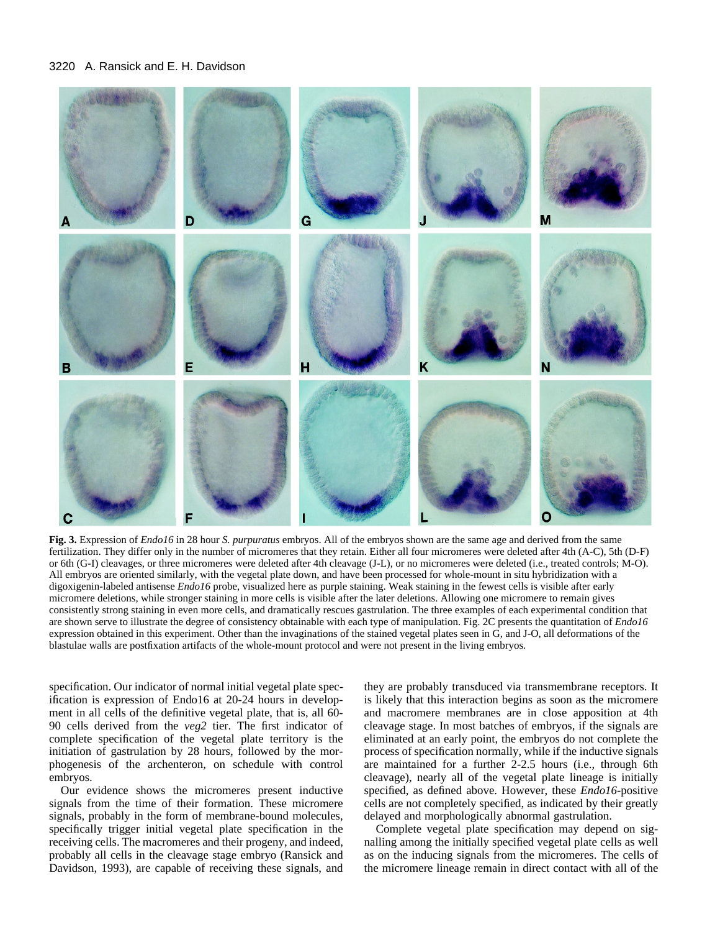

**Fig. 3.** Expression of *Endo16* in 28 hour *S. purpuratus* embryos. All of the embryos shown are the same age and derived from the same fertilization. They differ only in the number of micromeres that they retain. Either all four micromeres were deleted after 4th (A-C), 5th (D-F) or 6th (G-I) cleavages, or three micromeres were deleted after 4th cleavage (J-L), or no micromeres were deleted (i.e., treated controls; M-O). All embryos are oriented similarly, with the vegetal plate down, and have been processed for whole-mount in situ hybridization with a digoxigenin-labeled antisense *Endo16* probe, visualized here as purple staining. Weak staining in the fewest cells is visible after early micromere deletions, while stronger staining in more cells is visible after the later deletions. Allowing one micromere to remain gives consistently strong staining in even more cells, and dramatically rescues gastrulation. The three examples of each experimental condition that are shown serve to illustrate the degree of consistency obtainable with each type of manipulation. Fig. 2C presents the quantitation of *Endo16* expression obtained in this experiment. Other than the invaginations of the stained vegetal plates seen in G, and J-O, all deformations of the blastulae walls are postfixation artifacts of the whole-mount protocol and were not present in the living embryos.

specification. Our indicator of normal initial vegetal plate specification is expression of Endo16 at 20-24 hours in development in all cells of the definitive vegetal plate, that is, all 60- 90 cells derived from the *veg2* tier. The first indicator of complete specification of the vegetal plate territory is the initiation of gastrulation by 28 hours, followed by the morphogenesis of the archenteron, on schedule with control embryos.

Our evidence shows the micromeres present inductive signals from the time of their formation. These micromere signals, probably in the form of membrane-bound molecules, specifically trigger initial vegetal plate specification in the receiving cells. The macromeres and their progeny, and indeed, probably all cells in the cleavage stage embryo (Ransick and Davidson, 1993), are capable of receiving these signals, and

they are probably transduced via transmembrane receptors. It is likely that this interaction begins as soon as the micromere and macromere membranes are in close apposition at 4th cleavage stage. In most batches of embryos, if the signals are eliminated at an early point, the embryos do not complete the process of specification normally, while if the inductive signals are maintained for a further 2-2.5 hours (i.e., through 6th cleavage), nearly all of the vegetal plate lineage is initially specified, as defined above. However, these *Endo16*-positive cells are not completely specified, as indicated by their greatly delayed and morphologically abnormal gastrulation.

Complete vegetal plate specification may depend on signalling among the initially specified vegetal plate cells as well as on the inducing signals from the micromeres. The cells of the micromere lineage remain in direct contact with all of the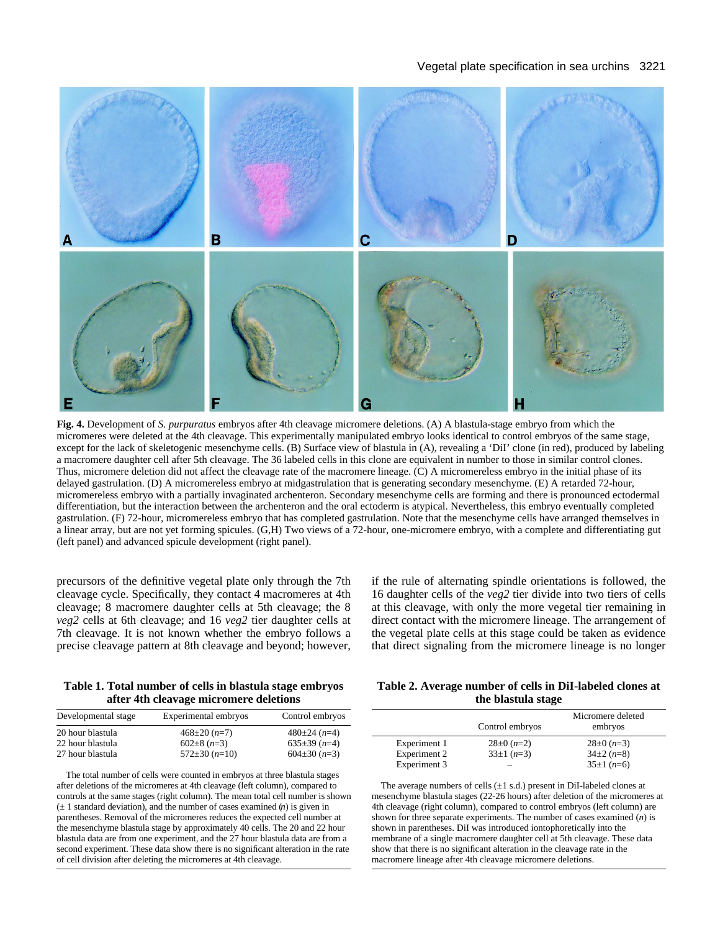## Vegetal plate specification in sea urchins 3221



**Fig. 4.** Development of *S. purpuratus* embryos after 4th cleavage micromere deletions. (A) A blastula-stage embryo from which the micromeres were deleted at the 4th cleavage. This experimentally manipulated embryo looks identical to control embryos of the same stage, except for the lack of skeletogenic mesenchyme cells. (B) Surface view of blastula in (A), revealing a 'DiI' clone (in red), produced by labeling a macromere daughter cell after 5th cleavage. The 36 labeled cells in this clone are equivalent in number to those in similar control clones. Thus, micromere deletion did not affect the cleavage rate of the macromere lineage. (C) A micromereless embryo in the initial phase of its delayed gastrulation. (D) A micromereless embryo at midgastrulation that is generating secondary mesenchyme. (E) A retarded 72-hour, micromereless embryo with a partially invaginated archenteron. Secondary mesenchyme cells are forming and there is pronounced ectodermal differentiation, but the interaction between the archenteron and the oral ectoderm is atypical. Nevertheless, this embryo eventually completed gastrulation. (F) 72-hour, micromereless embryo that has completed gastrulation. Note that the mesenchyme cells have arranged themselves in a linear array, but are not yet forming spicules. (G,H) Two views of a 72-hour, one-micromere embryo, with a complete and differentiating gut (left panel) and advanced spicule development (right panel).

precursors of the definitive vegetal plate only through the 7th cleavage cycle. Specifically, they contact 4 macromeres at 4th cleavage; 8 macromere daughter cells at 5th cleavage; the 8 *veg2* cells at 6th cleavage; and 16 *veg2* tier daughter cells at 7th cleavage. It is not known whether the embryo follows a precise cleavage pattern at 8th cleavage and beyond; however, if the rule of alternating spindle orientations is followed, the 16 daughter cells of the *veg2* tier divide into two tiers of cells at this cleavage, with only the more vegetal tier remaining in direct contact with the micromere lineage. The arrangement of the vegetal plate cells at this stage could be taken as evidence that direct signaling from the micromere lineage is no longer

#### **Table 1. Total number of cells in blastula stage embryos after 4th cleavage micromere deletions**

| Developmental stage | Experimental embryos  | Control embryos             |
|---------------------|-----------------------|-----------------------------|
| 20 hour blastula    | $468 \pm 20$ (n=7)    | $480 \pm 24$ ( <i>n</i> =4) |
| 22 hour blastula    | $602\pm8$ (n=3)       | $635\pm39$ ( <i>n</i> =4)   |
| 27 hour blastula    | $572 \pm 30$ $(n=10)$ | $604\pm30(n=3)$             |

The total number of cells were counted in embryos at three blastula stages after deletions of the micromeres at 4th cleavage (left column), compared to controls at the same stages (right column). The mean total cell number is shown  $(\pm 1)$  standard deviation), and the number of cases examined  $(n)$  is given in parentheses. Removal of the micromeres reduces the expected cell number at the mesenchyme blastula stage by approximately 40 cells. The 20 and 22 hour blastula data are from one experiment, and the 27 hour blastula data are from a second experiment. These data show there is no significant alteration in the rate of cell division after deleting the micromeres at 4th cleavage.

## **Table 2. Average number of cells in DiI-labeled clones at the blastula stage**

|              | Control embryos         | Micromere deleted<br>embryos |
|--------------|-------------------------|------------------------------|
| Experiment 1 | $28\pm0$ ( <i>n</i> =2) | $28\pm0$ ( <i>n</i> =3)      |
| Experiment 2 | $33\pm1(n=3)$           | $34\pm2(n=8)$                |
| Experiment 3 |                         | $35\pm1(n=6)$                |

The average numbers of cells  $(\pm 1 \text{ s.d.})$  present in DiI-labeled clones at mesenchyme blastula stages (22-26 hours) after deletion of the micromeres at 4th cleavage (right column), compared to control embryos (left column) are shown for three separate experiments. The number of cases examined (*n*) is shown in parentheses. DiI was introduced iontophoretically into the membrane of a single macromere daughter cell at 5th cleavage. These data show that there is no significant alteration in the cleavage rate in the macromere lineage after 4th cleavage micromere deletions.